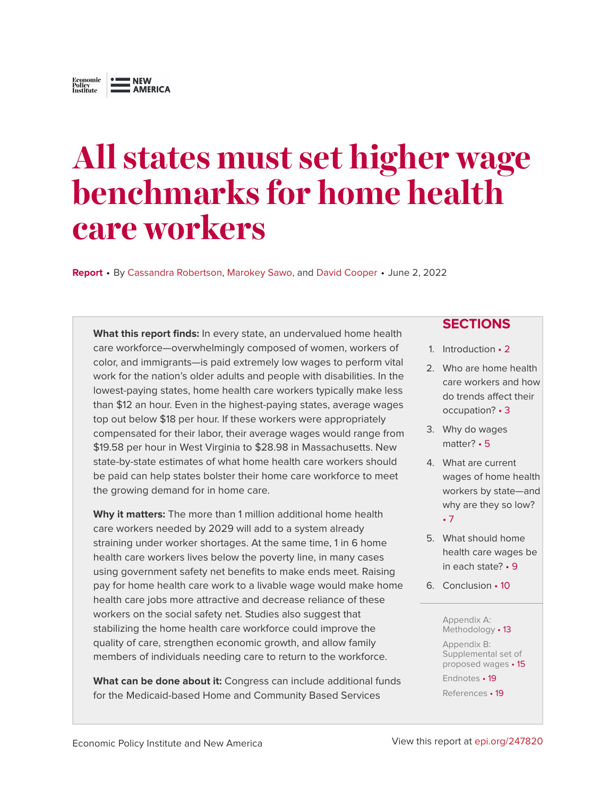# <span id="page-0-0"></span>**All states must set higher wage benchmarks for home health care workers**

**Report** • By [Cassandra Robertson,](https://www.epi.org/people/cassandra-robertson/) [Marokey Sawo,](https://www.epi.org/people/marokey-sawo/) and [David Cooper](https://www.epi.org/people/david-cooper/) • June 2, 2022

**What this report finds:** In every state, an undervalued home health care workforce—overwhelmingly composed of women, workers of color, and immigrants—is paid extremely low wages to perform vital work for the nation's older adults and people with disabilities. In the lowest-paying states, home health care workers typically make less than \$12 an hour. Even in the highest-paying states, average wages top out below \$18 per hour. If these workers were appropriately compensated for their labor, their average wages would range from \$19.58 per hour in West Virginia to \$28.98 in Massachusetts. New state-by-state estimates of what home health care workers should be paid can help states bolster their home care workforce to meet the growing demand for in home care.

**Why it matters:** The more than 1 million additional home health care workers needed by 2029 will add to a system already straining under worker shortages. At the same time, 1 in 6 home health care workers lives below the poverty line, in many cases using government safety net benefits to make ends meet. Raising pay for home health care work to a livable wage would make home health care jobs more attractive and decrease reliance of these workers on the social safety net. Studies also suggest that stabilizing the home health care workforce could improve the quality of care, strengthen economic growth, and allow family members of individuals needing care to return to the workforce.

**What can be done about it:** Congress can include additional funds for the Medicaid-based Home and Community Based Services

#### **SECTIONS**

- 1. [Introduction](#page-1-0) 2
- 2. [Who are home health](#page-2-0) [care workers and how](#page-2-0) [do trends affect their](#page-2-0) [occupation?](#page-2-0) • 3
- 3. [Why do wages](#page-4-0) [matter?](#page-4-0) • 5
- 4. [What are current](#page-6-0) [wages of home health](#page-6-0) [workers by state—and](#page-6-0) [why are they so low?](#page-6-0) • [7](#page-6-0)
- 5. [What should home](#page-8-0) [health care wages be](#page-8-0) [in each state?](#page-8-0) • 9
- 6. [Conclusion](#page-9-0) 10

#### [Appendix A:](#page-12-0) [Methodology](#page-12-0) • 13

[Appendix B:](#page-14-0) [Supplemental set of](#page-14-0) [proposed wages](#page-14-0) • 15

[Endnotes](#page-18-0) • 19 [References](#page-18-1) • 19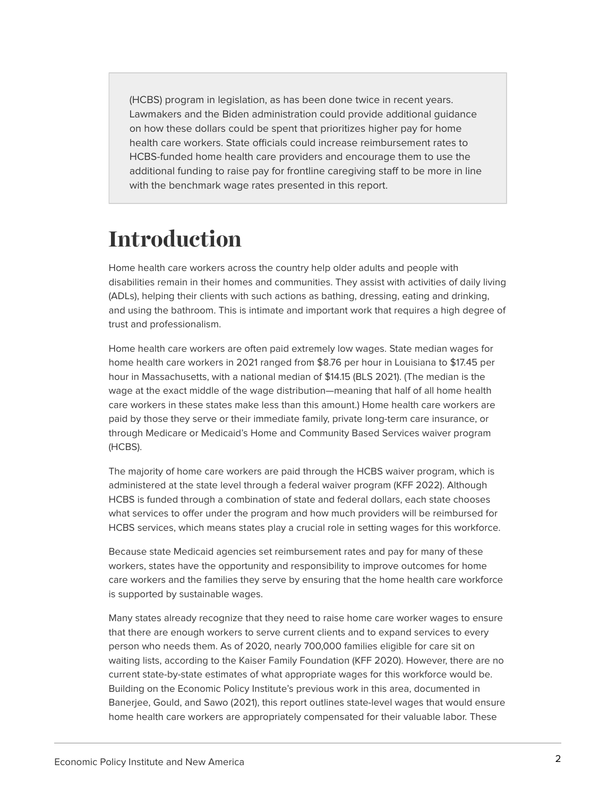(HCBS) program in legislation, as has been done twice in recent years. Lawmakers and the Biden administration could provide additional guidance on how these dollars could be spent that prioritizes higher pay for home health care workers. State officials could increase reimbursement rates to HCBS-funded home health care providers and encourage them to use the additional funding to raise pay for frontline caregiving staff to be more in line with the benchmark wage rates presented in this report.

## <span id="page-1-0"></span>**Introduction**

Home health care workers across the country help older adults and people with disabilities remain in their homes and communities. They assist with activities of daily living (ADLs), helping their clients with such actions as bathing, dressing, eating and drinking, and using the bathroom. This is intimate and important work that requires a high degree of trust and professionalism.

Home health care workers are often paid extremely low wages. State median wages for home health care workers in 2021 ranged from \$8.76 per hour in Louisiana to \$17.45 per hour in Massachusetts, with a national median of \$14.15 (BLS 2021). (The median is the wage at the exact middle of the wage distribution—meaning that half of all home health care workers in these states make less than this amount.) Home health care workers are paid by those they serve or their immediate family, private long-term care insurance, or through Medicare or Medicaid's Home and Community Based Services waiver program (HCBS).

The majority of home care workers are paid through the HCBS waiver program, which is administered at the state level through a federal waiver program (KFF 2022). Although HCBS is funded through a combination of state and federal dollars, each state chooses what services to offer under the program and how much providers will be reimbursed for HCBS services, which means states play a crucial role in setting wages for this workforce.

Because state Medicaid agencies set reimbursement rates and pay for many of these workers, states have the opportunity and responsibility to improve outcomes for home care workers and the families they serve by ensuring that the home health care workforce is supported by sustainable wages.

Many states already recognize that they need to raise home care worker wages to ensure that there are enough workers to serve current clients and to expand services to every person who needs them. As of 2020, nearly 700,000 families eligible for care sit on waiting lists, according to the Kaiser Family Foundation (KFF 2020). However, there are no current state-by-state estimates of what appropriate wages for this workforce would be. Building on the Economic Policy Institute's previous work in this area, documented in Banerjee, Gould, and Sawo (2021), this report outlines state-level wages that would ensure home health care workers are appropriately compensated for their valuable labor. These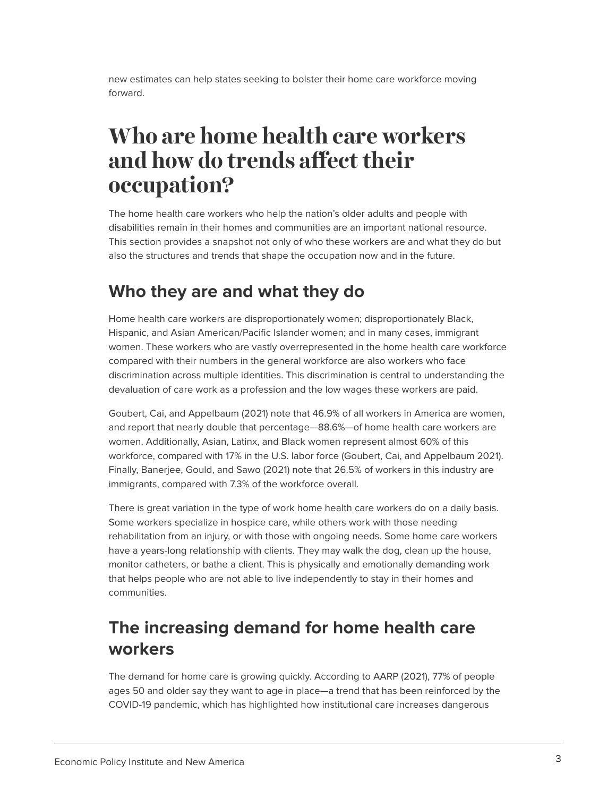new estimates can help states seeking to bolster their home care workforce moving forward.

## <span id="page-2-0"></span>**Who are home health care workers and how do trends affect their occupation?**

The home health care workers who help the nation's older adults and people with disabilities remain in their homes and communities are an important national resource. This section provides a snapshot not only of who these workers are and what they do but also the structures and trends that shape the occupation now and in the future.

### **Who they are and what they do**

Home health care workers are disproportionately women; disproportionately Black, Hispanic, and Asian American/Pacific Islander women; and in many cases, immigrant women. These workers who are vastly overrepresented in the home health care workforce compared with their numbers in the general workforce are also workers who face discrimination across multiple identities. This discrimination is central to understanding the devaluation of care work as a profession and the low wages these workers are paid.

Goubert, Cai, and Appelbaum (2021) note that 46.9% of all workers in America are women, and report that nearly double that percentage—88.6%—of home health care workers are women. Additionally, Asian, Latinx, and Black women represent almost 60% of this workforce, compared with 17% in the U.S. labor force (Goubert, Cai, and Appelbaum 2021). Finally, Banerjee, Gould, and Sawo (2021) note that 26.5% of workers in this industry are immigrants, compared with 7.3% of the workforce overall.

There is great variation in the type of work home health care workers do on a daily basis. Some workers specialize in hospice care, while others work with those needing rehabilitation from an injury, or with those with ongoing needs. Some home care workers have a years-long relationship with clients. They may walk the dog, clean up the house, monitor catheters, or bathe a client. This is physically and emotionally demanding work that helps people who are not able to live independently to stay in their homes and communities.

## **The increasing demand for home health care workers**

The demand for home care is growing quickly. According to AARP (2021), 77% of people ages 50 and older say they want to age in place—a trend that has been reinforced by the COVID-19 pandemic, which has highlighted how institutional care increases dangerous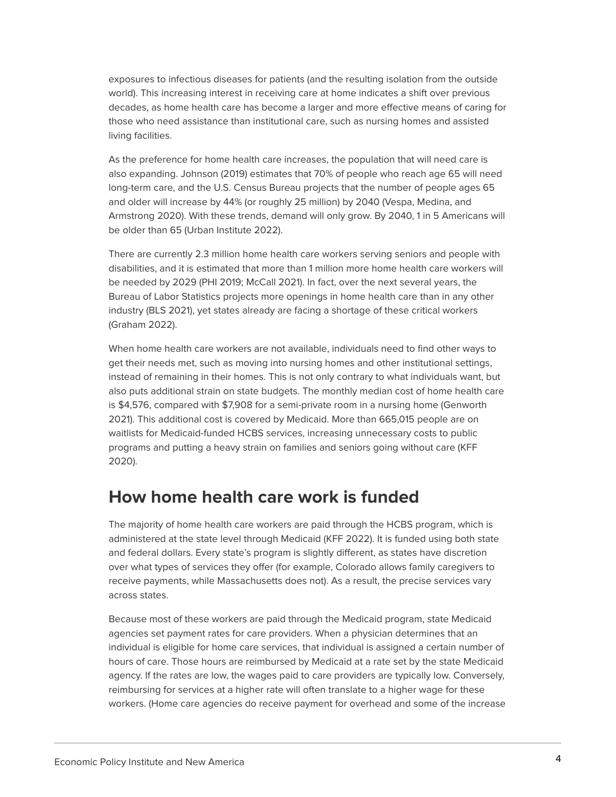exposures to infectious diseases for patients (and the resulting isolation from the outside world). This increasing interest in receiving care at home indicates a shift over previous decades, as home health care has become a larger and more effective means of caring for those who need assistance than institutional care, such as nursing homes and assisted living facilities.

As the preference for home health care increases, the population that will need care is also expanding. Johnson (2019) estimates that 70% of people who reach age 65 will need long-term care, and the U.S. Census Bureau projects that the number of people ages 65 and older will increase by 44% (or roughly 25 million) by 2040 (Vespa, Medina, and Armstrong 2020). With these trends, demand will only grow. By 2040, 1 in 5 Americans will be older than 65 (Urban Institute 2022).

There are currently 2.3 million home health care workers serving seniors and people with disabilities, and it is estimated that more than 1 million more home health care workers will be needed by 2029 (PHI 2019; McCall 2021). In fact, over the next several years, the Bureau of Labor Statistics projects more openings in home health care than in any other industry (BLS 2021), yet states already are facing a shortage of these critical workers (Graham 2022).

When home health care workers are not available, individuals need to find other ways to get their needs met, such as moving into nursing homes and other institutional settings, instead of remaining in their homes. This is not only contrary to what individuals want, but also puts additional strain on state budgets. The monthly median cost of home health care is \$4,576, compared with \$7,908 for a semi-private room in a nursing home (Genworth 2021). This additional cost is covered by Medicaid. More than 665,015 people are on waitlists for Medicaid-funded HCBS services, increasing unnecessary costs to public programs and putting a heavy strain on families and seniors going without care (KFF 2020).

### **How home health care work is funded**

The majority of home health care workers are paid through the HCBS program, which is administered at the state level through Medicaid (KFF 2022). It is funded using both state and federal dollars. Every state's program is slightly different, as states have discretion over what types of services they offer (for example, Colorado allows family caregivers to receive payments, while Massachusetts does not). As a result, the precise services vary across states.

Because most of these workers are paid through the Medicaid program, state Medicaid agencies set payment rates for care providers. When a physician determines that an individual is eligible for home care services, that individual is assigned a certain number of hours of care. Those hours are reimbursed by Medicaid at a rate set by the state Medicaid agency. If the rates are low, the wages paid to care providers are typically low. Conversely, reimbursing for services at a higher rate will often translate to a higher wage for these workers. (Home care agencies do receive payment for overhead and some of the increase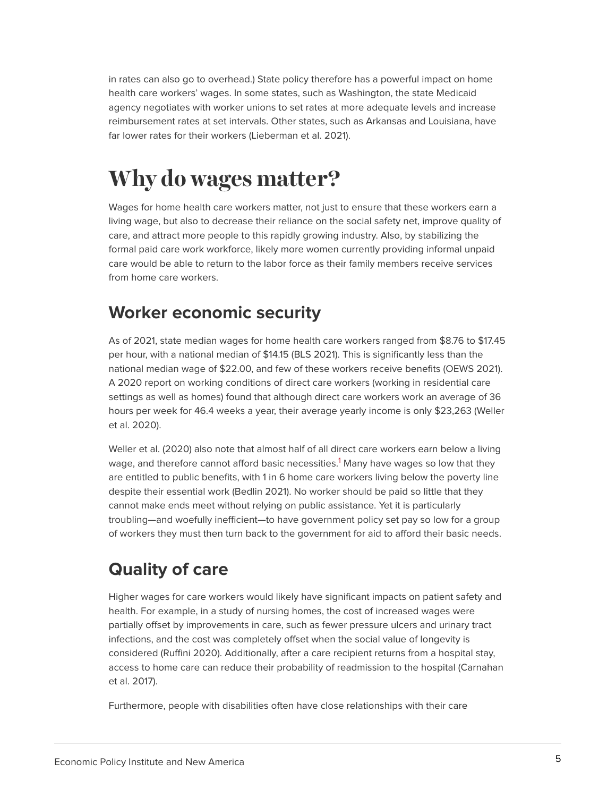in rates can also go to overhead.) State policy therefore has a powerful impact on home health care workers' wages. In some states, such as Washington, the state Medicaid agency negotiates with worker unions to set rates at more adequate levels and increase reimbursement rates at set intervals. Other states, such as Arkansas and Louisiana, have far lower rates for their workers (Lieberman et al. 2021).

## <span id="page-4-0"></span>**Why do wages matter?**

Wages for home health care workers matter, not just to ensure that these workers earn a living wage, but also to decrease their reliance on the social safety net, improve quality of care, and attract more people to this rapidly growing industry. Also, by stabilizing the formal paid care work workforce, likely more women currently providing informal unpaid care would be able to return to the labor force as their family members receive services from home care workers.

## **Worker economic security**

As of 2021, state median wages for home health care workers ranged from \$8.76 to \$17.45 per hour, with a national median of \$14.15 (BLS 2021). This is significantly less than the national median wage of \$22.00, and few of these workers receive benefits (OEWS 2021). A 2020 report on working conditions of direct care workers (working in residential care settings as well as homes) found that although direct care workers work an average of 36 hours per week for 46.4 weeks a year, their average yearly income is only \$23,263 (Weller et al. 2020).

<span id="page-4-1"></span>Weller et al. (2020) also note that almost half of all direct care workers earn below a living wage, and therefore cannot afford basic necessities.<sup>[1](#page-18-2)</sup> Many have wages so low that they are entitled to public benefits, with 1 in 6 home care workers living below the poverty line despite their essential work (Bedlin 2021). No worker should be paid so little that they cannot make ends meet without relying on public assistance. Yet it is particularly troubling—and woefully inefficient—to have government policy set pay so low for a group of workers they must then turn back to the government for aid to afford their basic needs.

## **Quality of care**

Higher wages for care workers would likely have significant impacts on patient safety and health. For example, in a study of nursing homes, the cost of increased wages were partially offset by improvements in care, such as fewer pressure ulcers and urinary tract infections, and the cost was completely offset when the social value of longevity is considered (Ruffini 2020). Additionally, after a care recipient returns from a hospital stay, access to home care can reduce their probability of readmission to the hospital (Carnahan et al. 2017).

Furthermore, people with disabilities often have close relationships with their care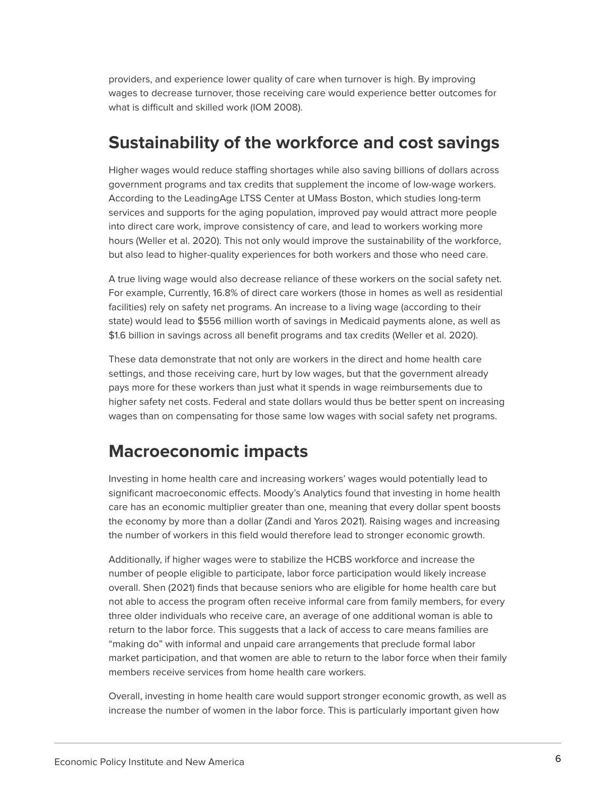providers, and experience lower quality of care when turnover is high. By improving wages to decrease turnover, those receiving care would experience better outcomes for what is difficult and skilled work (IOM 2008).

### **Sustainability of the workforce and cost savings**

Higher wages would reduce staffing shortages while also saving billions of dollars across government programs and tax credits that supplement the income of low-wage workers. According to the LeadingAge LTSS Center at UMass Boston, which studies long-term services and supports for the aging population, improved pay would attract more people into direct care work, improve consistency of care, and lead to workers working more hours (Weller et al. 2020). This not only would improve the sustainability of the workforce, but also lead to higher-quality experiences for both workers and those who need care.

A true living wage would also decrease reliance of these workers on the social safety net. For example, Currently, 16.8% of direct care workers (those in homes as well as residential facilities) rely on safety net programs. An increase to a living wage (according to their state) would lead to \$556 million worth of savings in Medicaid payments alone, as well as \$1.6 billion in savings across all benefit programs and tax credits (Weller et al. 2020).

These data demonstrate that not only are workers in the direct and home health care settings, and those receiving care, hurt by low wages, but that the government already pays more for these workers than just what it spends in wage reimbursements due to higher safety net costs. Federal and state dollars would thus be better spent on increasing wages than on compensating for those same low wages with social safety net programs.

### **Macroeconomic impacts**

Investing in home health care and increasing workers' wages would potentially lead to significant macroeconomic effects. Moody's Analytics found that investing in home health care has an economic multiplier greater than one, meaning that every dollar spent boosts the economy by more than a dollar (Zandi and Yaros 2021). Raising wages and increasing the number of workers in this field would therefore lead to stronger economic growth.

Additionally, if higher wages were to stabilize the HCBS workforce and increase the number of people eligible to participate, labor force participation would likely increase overall. Shen (2021) finds that because seniors who are eligible for home health care but not able to access the program often receive informal care from family members, for every three older individuals who receive care, an average of one additional woman is able to return to the labor force. This suggests that a lack of access to care means families are "making do" with informal and unpaid care arrangements that preclude formal labor market participation, and that women are able to return to the labor force when their family members receive services from home health care workers.

Overall, investing in home health care would support stronger economic growth, as well as increase the number of women in the labor force. This is particularly important given how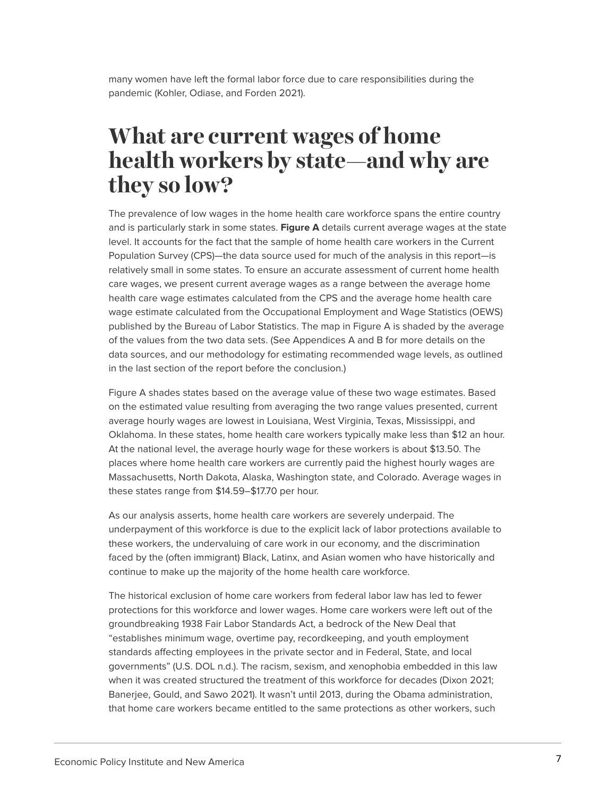many women have left the formal labor force due to care responsibilities during the pandemic (Kohler, Odiase, and Forden 2021).

## <span id="page-6-0"></span>**What are current wages of home health workers by state—and why are they so low?**

The prevalence of low wages in the home health care workforce spans the entire country and is particularly stark in some states. **Figure A** details current average wages at the state level. It accounts for the fact that the sample of home health care workers in the Current Population Survey (CPS)—the data source used for much of the analysis in this report—is relatively small in some states. To ensure an accurate assessment of current home health care wages, we present current average wages as a range between the average home health care wage estimates calculated from the CPS and the average home health care wage estimate calculated from the Occupational Employment and Wage Statistics (OEWS) published by the Bureau of Labor Statistics. The map in Figure A is shaded by the average of the values from the two data sets. (See Appendices A and B for more details on the data sources, and our methodology for estimating recommended wage levels, as outlined in the last section of the report before the conclusion.)

Figure A shades states based on the average value of these two wage estimates. Based on the estimated value resulting from averaging the two range values presented, current average hourly wages are lowest in Louisiana, West Virginia, Texas, Mississippi, and Oklahoma. In these states, home health care workers typically make less than \$12 an hour. At the national level, the average hourly wage for these workers is about \$13.50. The places where home health care workers are currently paid the highest hourly wages are Massachusetts, North Dakota, Alaska, Washington state, and Colorado. Average wages in these states range from \$14.59–\$17.70 per hour.

As our analysis asserts, home health care workers are severely underpaid. The underpayment of this workforce is due to the explicit lack of labor protections available to these workers, the undervaluing of care work in our economy, and the discrimination faced by the (often immigrant) Black, Latinx, and Asian women who have historically and continue to make up the majority of the home health care workforce.

The historical exclusion of home care workers from federal labor law has led to fewer protections for this workforce and lower wages. Home care workers were left out of the groundbreaking 1938 Fair Labor Standards Act, a bedrock of the New Deal that "establishes minimum wage, overtime pay, recordkeeping, and youth employment standards affecting employees in the private sector and in Federal, State, and local governments" (U.S. DOL n.d.). The racism, sexism, and xenophobia embedded in this law when it was created structured the treatment of this workforce for decades (Dixon 2021; Banerjee, Gould, and Sawo 2021). It wasn't until 2013, during the Obama administration, that home care workers became entitled to the same protections as other workers, such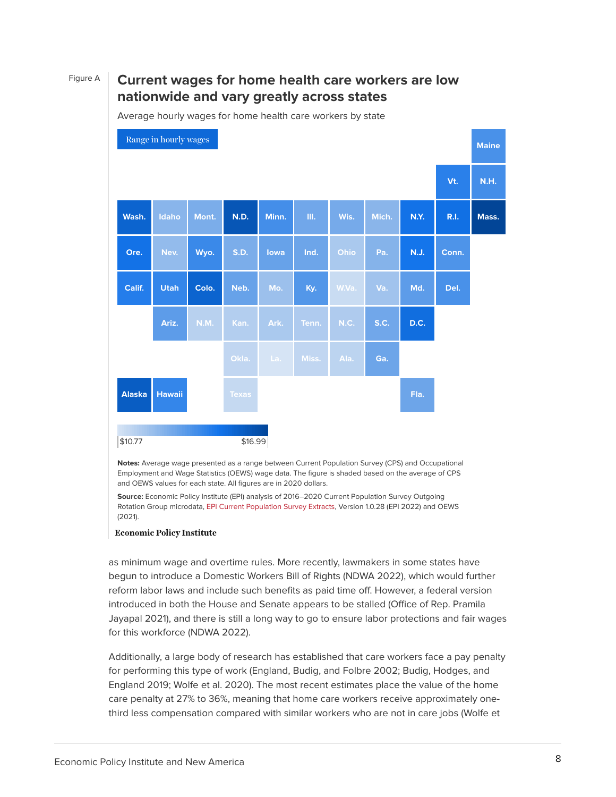### Figure A **Current wages for home health care workers are low nationwide and vary greatly across states**

\$10.77 \$16.99 [Range in hourly wages](#page-0-0) **Maine Vt. N.H. Wash. Idaho Mont. N.D. Minn. Ill. Wis. Mich. N.Y. R.I. Mass. Ore. Nev. Wyo. S.D. Iowa Ind. Ohio Pa. N.J. Conn. Calif. Utah Colo. Neb. Mo. Ky. W.Va. Va. Md. Del. Ariz. N.M. Kan. Ark. Tenn. N.C. S.C. D.C. Okla. La. Miss. Ala. Ga. Alaska Hawaii Texas Fla.**

Average hourly wages for home health care workers by state

**Notes:** Average wage presented as a range between Current Population Survey (CPS) and Occupational Employment and Wage Statistics (OEWS) wage data. The figure is shaded based on the average of CPS and OEWS values for each state. All figures are in 2020 dollars.

**Source:** Economic Policy Institute (EPI) analysis of 2016–2020 Current Population Survey Outgoing Rotation Group microdata, [EPI Current Population Survey Extracts,](https://microdata.epi.org/) Version 1.0.28 (EPI 2022) and OEWS (2021).

#### **Economic Policy Institute**

as minimum wage and overtime rules. More recently, lawmakers in some states have begun to introduce a Domestic Workers Bill of Rights (NDWA 2022), which would further reform labor laws and include such benefits as paid time off. However, a federal version introduced in both the House and Senate appears to be stalled (Office of Rep. Pramila Jayapal 2021), and there is still a long way to go to ensure labor protections and fair wages for this workforce (NDWA 2022).

Additionally, a large body of research has established that care workers face a pay penalty for performing this type of work (England, Budig, and Folbre 2002; Budig, Hodges, and England 2019; Wolfe et al. 2020). The most recent estimates place the value of the home care penalty at 27% to 36%, meaning that home care workers receive approximately onethird less compensation compared with similar workers who are not in care jobs (Wolfe et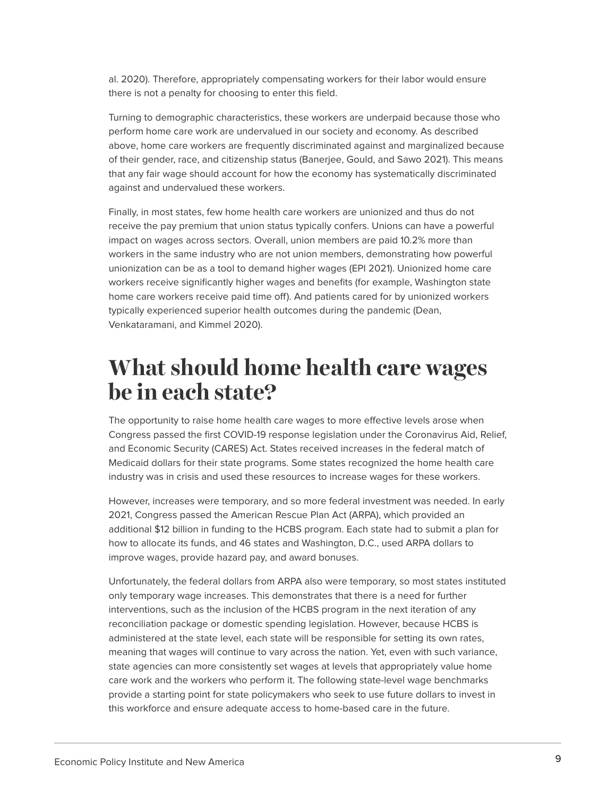al. 2020). Therefore, appropriately compensating workers for their labor would ensure there is not a penalty for choosing to enter this field.

Turning to demographic characteristics, these workers are underpaid because those who perform home care work are undervalued in our society and economy. As described above, home care workers are frequently discriminated against and marginalized because of their gender, race, and citizenship status (Banerjee, Gould, and Sawo 2021). This means that any fair wage should account for how the economy has systematically discriminated against and undervalued these workers.

Finally, in most states, few home health care workers are unionized and thus do not receive the pay premium that union status typically confers. Unions can have a powerful impact on wages across sectors. Overall, union members are paid 10.2% more than workers in the same industry who are not union members, demonstrating how powerful unionization can be as a tool to demand higher wages (EPI 2021). Unionized home care workers receive significantly higher wages and benefits (for example, Washington state home care workers receive paid time off). And patients cared for by unionized workers typically experienced superior health outcomes during the pandemic (Dean, Venkataramani, and Kimmel 2020).

## <span id="page-8-0"></span>**What should home health care wages be in each state?**

The opportunity to raise home health care wages to more effective levels arose when Congress passed the first COVID-19 response legislation under the Coronavirus Aid, Relief, and Economic Security (CARES) Act. States received increases in the federal match of Medicaid dollars for their state programs. Some states recognized the home health care industry was in crisis and used these resources to increase wages for these workers.

However, increases were temporary, and so more federal investment was needed. In early 2021, Congress passed the American Rescue Plan Act (ARPA), which provided an additional \$12 billion in funding to the HCBS program. Each state had to submit a plan for how to allocate its funds, and 46 states and Washington, D.C., used ARPA dollars to improve wages, provide hazard pay, and award bonuses.

Unfortunately, the federal dollars from ARPA also were temporary, so most states instituted only temporary wage increases. This demonstrates that there is a need for further interventions, such as the inclusion of the HCBS program in the next iteration of any reconciliation package or domestic spending legislation. However, because HCBS is administered at the state level, each state will be responsible for setting its own rates, meaning that wages will continue to vary across the nation. Yet, even with such variance, state agencies can more consistently set wages at levels that appropriately value home care work and the workers who perform it. The following state-level wage benchmarks provide a starting point for state policymakers who seek to use future dollars to invest in this workforce and ensure adequate access to home-based care in the future.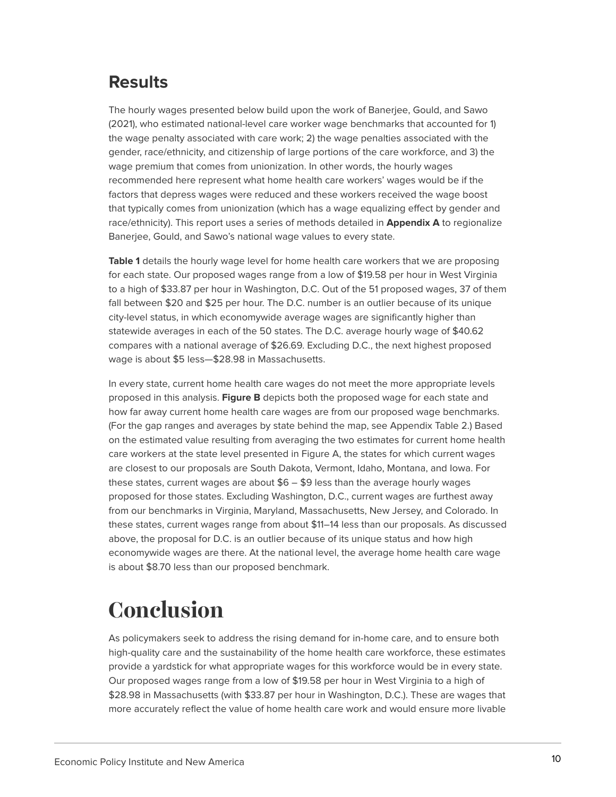## **Results**

The hourly wages presented below build upon the work of Banerjee, Gould, and Sawo (2021), who estimated national-level care worker wage benchmarks that accounted for 1) the wage penalty associated with care work; 2) the wage penalties associated with the gender, race/ethnicity, and citizenship of large portions of the care workforce, and 3) the wage premium that comes from unionization. In other words, the hourly wages recommended here represent what home health care workers' wages would be if the factors that depress wages were reduced and these workers received the wage boost that typically comes from unionization (which has a wage equalizing effect by gender and race/ethnicity). This report uses a series of methods detailed in **Appendix A** to regionalize Banerjee, Gould, and Sawo's national wage values to every state.

**Table 1** details the hourly wage level for home health care workers that we are proposing for each state. Our proposed wages range from a low of \$19.58 per hour in West Virginia to a high of \$33.87 per hour in Washington, D.C. Out of the 51 proposed wages, 37 of them fall between \$20 and \$25 per hour. The D.C. number is an outlier because of its unique city-level status, in which economywide average wages are significantly higher than statewide averages in each of the 50 states. The D.C. average hourly wage of \$40.62 compares with a national average of \$26.69. Excluding D.C., the next highest proposed wage is about \$5 less—\$28.98 in Massachusetts.

In every state, current home health care wages do not meet the more appropriate levels proposed in this analysis. **Figure B** depicts both the proposed wage for each state and how far away current home health care wages are from our proposed wage benchmarks. (For the gap ranges and averages by state behind the map, see Appendix Table 2.) Based on the estimated value resulting from averaging the two estimates for current home health care workers at the state level presented in Figure A, the states for which current wages are closest to our proposals are South Dakota, Vermont, Idaho, Montana, and Iowa. For these states, current wages are about  $$6 - $9$  less than the average hourly wages proposed for those states. Excluding Washington, D.C., current wages are furthest away from our benchmarks in Virginia, Maryland, Massachusetts, New Jersey, and Colorado. In these states, current wages range from about \$11–14 less than our proposals. As discussed above, the proposal for D.C. is an outlier because of its unique status and how high economywide wages are there. At the national level, the average home health care wage is about \$8.70 less than our proposed benchmark.

## <span id="page-9-0"></span>**Conclusion**

As policymakers seek to address the rising demand for in-home care, and to ensure both high-quality care and the sustainability of the home health care workforce, these estimates provide a yardstick for what appropriate wages for this workforce would be in every state. Our proposed wages range from a low of \$19.58 per hour in West Virginia to a high of \$28.98 in Massachusetts (with \$33.87 per hour in Washington, D.C.). These are wages that more accurately reflect the value of home health care work and would ensure more livable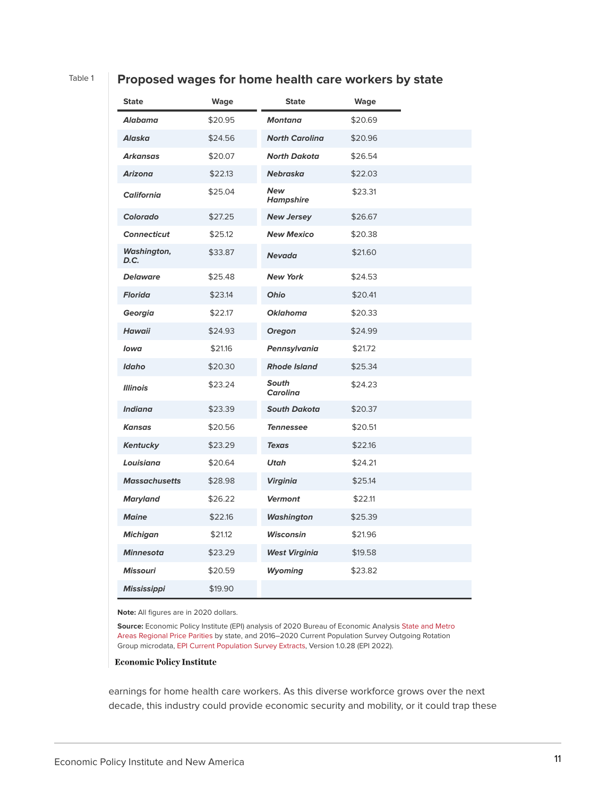#### Table 1 **Proposed wages for home health care workers by state**

| <b>State</b>         | Wage    | <b>State</b>                   | <b>Wage</b> |  |
|----------------------|---------|--------------------------------|-------------|--|
| Alabama              | \$20.95 | <b>Montana</b>                 | \$20.69     |  |
| <b>Alaska</b>        | \$24.56 | <b>North Carolina</b>          | \$20.96     |  |
| <b>Arkansas</b>      | \$20.07 | <b>North Dakota</b>            | \$26.54     |  |
| <b>Arizona</b>       | \$22.13 | <b>Nebraska</b>                | \$22.03     |  |
| <b>California</b>    | \$25.04 | <b>New</b><br><b>Hampshire</b> | \$23.31     |  |
| Colorado             | \$27.25 | <b>New Jersey</b>              | \$26.67     |  |
| <b>Connecticut</b>   | \$25.12 | <b>New Mexico</b>              | \$20.38     |  |
| Washington,<br>D.C.  | \$33.87 | <b>Nevada</b>                  | \$21.60     |  |
| <b>Delaware</b>      | \$25.48 | <b>New York</b>                | \$24.53     |  |
| <b>Florida</b>       | \$23.14 | <b>Ohio</b>                    | \$20.41     |  |
| Georgia              | \$22.17 | <b>Oklahoma</b>                | \$20.33     |  |
| <b>Hawaii</b>        | \$24.93 | <b>Oregon</b>                  | \$24.99     |  |
| lowa                 | \$21.16 | Pennsylvania                   | \$21.72     |  |
| Idaho                | \$20.30 | <b>Rhode Island</b>            | \$25.34     |  |
| <b>Illinois</b>      | \$23.24 | South<br><b>Carolina</b>       | \$24.23     |  |
| <b>Indiana</b>       | \$23.39 | <b>South Dakota</b>            | \$20.37     |  |
| Kansas               | \$20.56 | <b>Tennessee</b>               | \$20.51     |  |
| <b>Kentucky</b>      | \$23.29 | <b>Texas</b>                   | \$22.16     |  |
| Louisiana            | \$20.64 | <b>Utah</b>                    | \$24.21     |  |
| <b>Massachusetts</b> | \$28.98 | <b>Virginia</b>                | \$25.14     |  |
| Maryland             | \$26.22 | <b>Vermont</b>                 | \$22.11     |  |
| <b>Maine</b>         | \$22.16 | <b>Washington</b>              | \$25.39     |  |
| <b>Michigan</b>      | \$21.12 | <b>Wisconsin</b>               | \$21.96     |  |
| <b>Minnesota</b>     | \$23.29 | <b>West Virginia</b>           | \$19.58     |  |
| <b>Missouri</b>      | \$20.59 | <b>Wyoming</b>                 | \$23.82     |  |
| <b>Mississippi</b>   | \$19.90 |                                |             |  |

**Note:** All figures are in 2020 dollars.

**Source:** Economic Policy Institute (EPI) analysis of 2020 Bureau of Economic Analysis [State and Metro](https://www.bea.gov/data/prices-inflation/regional-price-parities-state-and-metro-area#:~:text=Regional%20price%20parities%20(RPPs)%20measure,the%20overall%20national%20price%20level.) [Areas Regional Price Parities](https://www.bea.gov/data/prices-inflation/regional-price-parities-state-and-metro-area#:~:text=Regional%20price%20parities%20(RPPs)%20measure,the%20overall%20national%20price%20level.) by state, and 2016–2020 Current Population Survey Outgoing Rotation Group microdata, [EPI Current Population Survey Extracts,](https://microdata.epi.org/) Version 1.0.28 (EPI 2022).

#### **Economic Policy Institute**

earnings for home health care workers. As this diverse workforce grows over the next decade, this industry could provide economic security and mobility, or it could trap these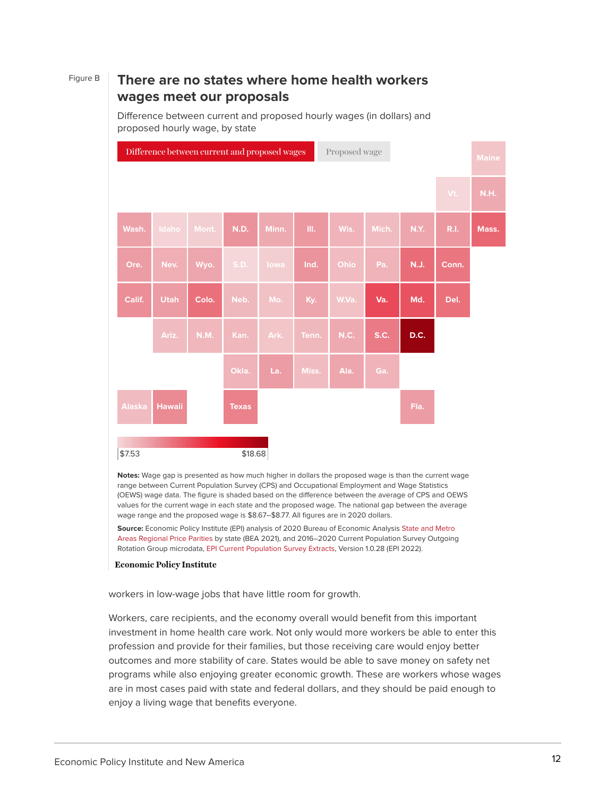### Figure B **There are no states where home health workers wages meet our proposals**

Difference between current and proposed hourly wages (in dollars) and proposed hourly wage, by state

| Difference between current and proposed wages<br>Proposed wage |               |       |              |       |       |             |       | <b>Maine</b> |             |       |
|----------------------------------------------------------------|---------------|-------|--------------|-------|-------|-------------|-------|--------------|-------------|-------|
|                                                                |               |       |              |       |       |             |       |              | Vt.         | N.H.  |
| Wash.                                                          | Idaho         | Mont. | <b>N.D.</b>  | Minn. | III.  | Wis.        | Mich. | N.Y.         | <b>R.I.</b> | Mass. |
| Ore.                                                           | Nev.          | Wyo.  | S.D.         | lowa  | Ind.  | Ohio        | Pa.   | <b>N.J.</b>  | Conn.       |       |
| Calif.                                                         | <b>Utah</b>   | Colo. | Neb.         | Mo.   | Ky.   | W.Va.       | Va.   | Md.          | Del.        |       |
|                                                                | Ariz.         | N.M.  | Kan.         | Ark.  | Tenn. | <b>N.C.</b> | S.C.  | D.C.         |             |       |
|                                                                |               |       | Okla.        | La.   | Miss. | Ala.        | Ga.   |              |             |       |
| Alaska                                                         | <b>Hawaii</b> |       | <b>Texas</b> |       |       |             |       | Fla.         |             |       |
| \$18.68<br>\$7.53                                              |               |       |              |       |       |             |       |              |             |       |

**Notes:** Wage gap is presented as how much higher in dollars the proposed wage is than the current wage range between Current Population Survey (CPS) and Occupational Employment and Wage Statistics (OEWS) wage data. The figure is shaded based on the difference between the average of CPS and OEWS values for the current wage in each state and the proposed wage. The national gap between the average wage range and the proposed wage is \$8.67–\$8.77. All figures are in 2020 dollars.

**Source:** Economic Policy Institute (EPI) analysis of 2020 Bureau of Economic Analysis [State and Metro](https://www.bea.gov/data/prices-inflation/regional-price-parities-state-and-metro-area#:~:text=Regional%20price%20parities%20(RPPs)%20measure,the%20overall%20national%20price%20level.) [Areas Regional Price Parities](https://www.bea.gov/data/prices-inflation/regional-price-parities-state-and-metro-area#:~:text=Regional%20price%20parities%20(RPPs)%20measure,the%20overall%20national%20price%20level.) by state (BEA 2021), and 2016–2020 Current Population Survey Outgoing Rotation Group microdata, [EPI Current Population Survey Extracts,](https://microdata.epi.org/) Version 1.0.28 (EPI 2022).

#### **Economic Policy Institute**

workers in low-wage jobs that have little room for growth.

Workers, care recipients, and the economy overall would benefit from this important investment in home health care work. Not only would more workers be able to enter this profession and provide for their families, but those receiving care would enjoy better outcomes and more stability of care. States would be able to save money on safety net programs while also enjoying greater economic growth. These are workers whose wages are in most cases paid with state and federal dollars, and they should be paid enough to enjoy a living wage that benefits everyone.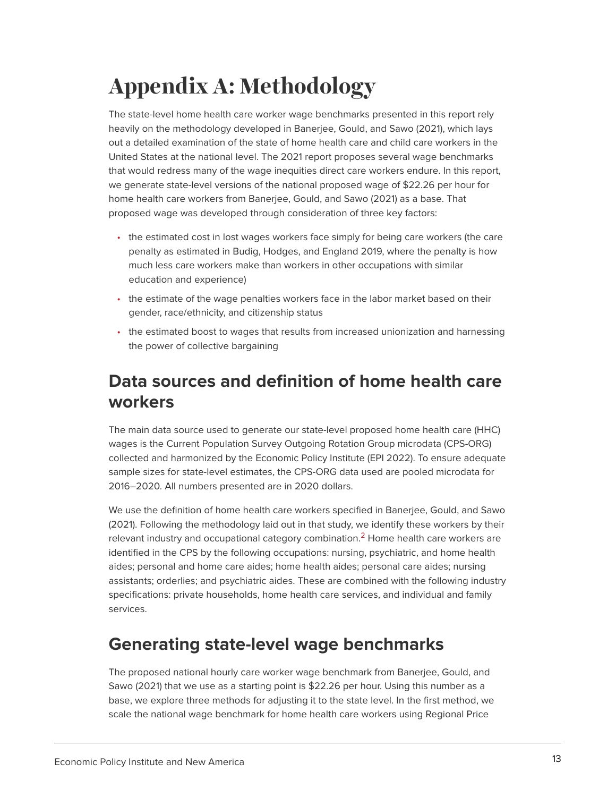# <span id="page-12-0"></span>**Appendix A: Methodology**

The state-level home health care worker wage benchmarks presented in this report rely heavily on the methodology developed in Banerjee, Gould, and Sawo (2021), which lays out a detailed examination of the state of home health care and child care workers in the United States at the national level. The 2021 report proposes several wage benchmarks that would redress many of the wage inequities direct care workers endure. In this report, we generate state-level versions of the national proposed wage of \$22.26 per hour for home health care workers from Banerjee, Gould, and Sawo (2021) as a base. That proposed wage was developed through consideration of three key factors:

- the estimated cost in lost wages workers face simply for being care workers (the care penalty as estimated in Budig, Hodges, and England 2019, where the penalty is how much less care workers make than workers in other occupations with similar education and experience)
- the estimate of the wage penalties workers face in the labor market based on their gender, race/ethnicity, and citizenship status
- the estimated boost to wages that results from increased unionization and harnessing the power of collective bargaining

## **Data sources and definition of home health care workers**

The main data source used to generate our state-level proposed home health care (HHC) wages is the Current Population Survey Outgoing Rotation Group microdata (CPS-ORG) collected and harmonized by the Economic Policy Institute (EPI 2022). To ensure adequate sample sizes for state-level estimates, the CPS-ORG data used are pooled microdata for 2016–2020. All numbers presented are in 2020 dollars.

<span id="page-12-1"></span>We use the definition of home health care workers specified in Banerjee, Gould, and Sawo (2021). Following the methodology laid out in that study, we identify these workers by their relevant industry and occupational category combination.<sup>[2](#page-18-3)</sup> Home health care workers are identified in the CPS by the following occupations: nursing, psychiatric, and home health aides; personal and home care aides; home health aides; personal care aides; nursing assistants; orderlies; and psychiatric aides. These are combined with the following industry specifications: private households, home health care services, and individual and family services.

## **Generating state-level wage benchmarks**

The proposed national hourly care worker wage benchmark from Banerjee, Gould, and Sawo (2021) that we use as a starting point is \$22.26 per hour. Using this number as a base, we explore three methods for adjusting it to the state level. In the first method, we scale the national wage benchmark for home health care workers using Regional Price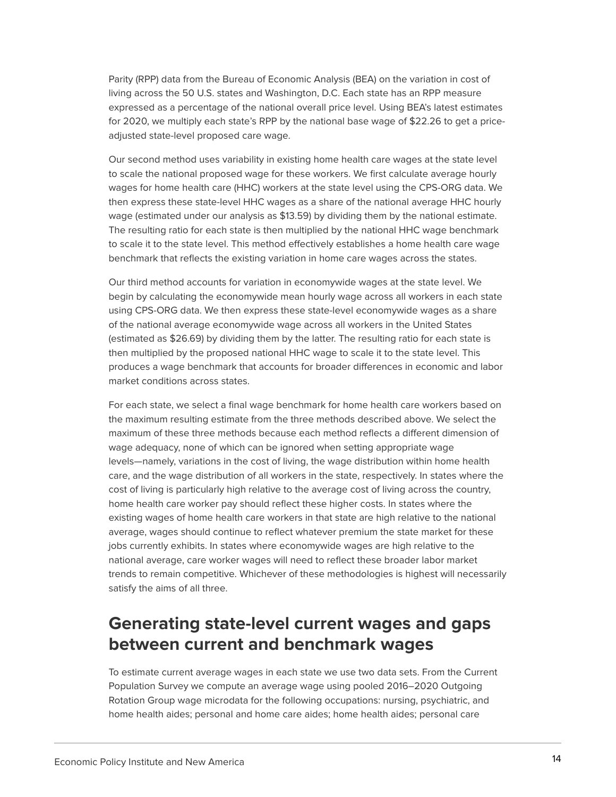Parity (RPP) data from the Bureau of Economic Analysis (BEA) on the variation in cost of living across the 50 U.S. states and Washington, D.C. Each state has an RPP measure expressed as a percentage of the national overall price level. Using BEA's latest estimates for 2020, we multiply each state's RPP by the national base wage of \$22.26 to get a priceadjusted state-level proposed care wage.

Our second method uses variability in existing home health care wages at the state level to scale the national proposed wage for these workers. We first calculate average hourly wages for home health care (HHC) workers at the state level using the CPS-ORG data. We then express these state-level HHC wages as a share of the national average HHC hourly wage (estimated under our analysis as \$13.59) by dividing them by the national estimate. The resulting ratio for each state is then multiplied by the national HHC wage benchmark to scale it to the state level. This method effectively establishes a home health care wage benchmark that reflects the existing variation in home care wages across the states.

Our third method accounts for variation in economywide wages at the state level. We begin by calculating the economywide mean hourly wage across all workers in each state using CPS-ORG data. We then express these state-level economywide wages as a share of the national average economywide wage across all workers in the United States (estimated as \$26.69) by dividing them by the latter. The resulting ratio for each state is then multiplied by the proposed national HHC wage to scale it to the state level. This produces a wage benchmark that accounts for broader differences in economic and labor market conditions across states.

For each state, we select a final wage benchmark for home health care workers based on the maximum resulting estimate from the three methods described above. We select the maximum of these three methods because each method reflects a different dimension of wage adequacy, none of which can be ignored when setting appropriate wage levels—namely, variations in the cost of living, the wage distribution within home health care, and the wage distribution of all workers in the state, respectively. In states where the cost of living is particularly high relative to the average cost of living across the country, home health care worker pay should reflect these higher costs. In states where the existing wages of home health care workers in that state are high relative to the national average, wages should continue to reflect whatever premium the state market for these jobs currently exhibits. In states where economywide wages are high relative to the national average, care worker wages will need to reflect these broader labor market trends to remain competitive. Whichever of these methodologies is highest will necessarily satisfy the aims of all three.

## **Generating state-level current wages and gaps between current and benchmark wages**

To estimate current average wages in each state we use two data sets. From the Current Population Survey we compute an average wage using pooled 2016–2020 Outgoing Rotation Group wage microdata for the following occupations: nursing, psychiatric, and home health aides; personal and home care aides; home health aides; personal care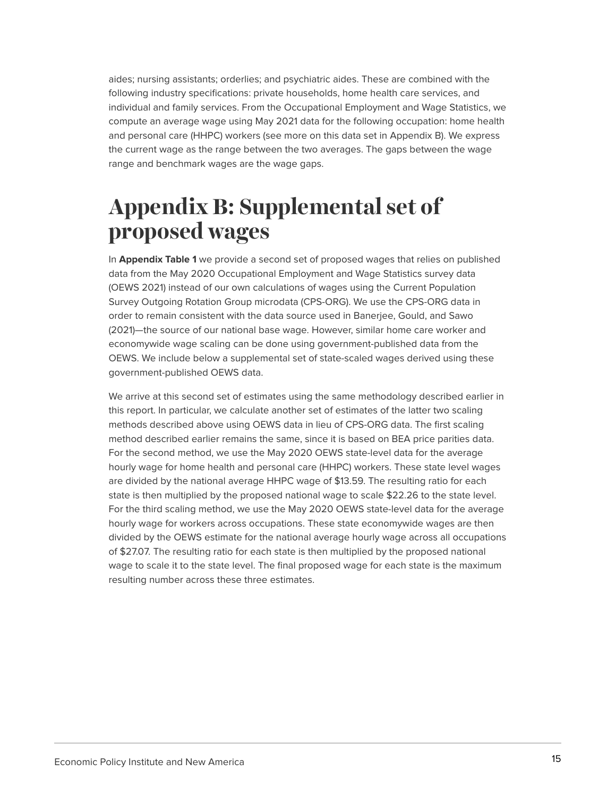aides; nursing assistants; orderlies; and psychiatric aides. These are combined with the following industry specifications: private households, home health care services, and individual and family services. From the Occupational Employment and Wage Statistics, we compute an average wage using May 2021 data for the following occupation: home health and personal care (HHPC) workers (see more on this data set in Appendix B). We express the current wage as the range between the two averages. The gaps between the wage range and benchmark wages are the wage gaps.

## <span id="page-14-0"></span>**Appendix B: Supplemental set of proposed wages**

In **Appendix Table 1** we provide a second set of proposed wages that relies on published data from the May 2020 Occupational Employment and Wage Statistics survey data (OEWS 2021) instead of our own calculations of wages using the Current Population Survey Outgoing Rotation Group microdata (CPS-ORG). We use the CPS-ORG data in order to remain consistent with the data source used in Banerjee, Gould, and Sawo (2021)—the source of our national base wage. However, similar home care worker and economywide wage scaling can be done using government-published data from the OEWS. We include below a supplemental set of state-scaled wages derived using these government-published OEWS data.

We arrive at this second set of estimates using the same methodology described earlier in this report. In particular, we calculate another set of estimates of the latter two scaling methods described above using OEWS data in lieu of CPS-ORG data. The first scaling method described earlier remains the same, since it is based on BEA price parities data. For the second method, we use the May 2020 OEWS state-level data for the average hourly wage for home health and personal care (HHPC) workers. These state level wages are divided by the national average HHPC wage of \$13.59. The resulting ratio for each state is then multiplied by the proposed national wage to scale \$22.26 to the state level. For the third scaling method, we use the May 2020 OEWS state-level data for the average hourly wage for workers across occupations. These state economywide wages are then divided by the OEWS estimate for the national average hourly wage across all occupations of \$27.07. The resulting ratio for each state is then multiplied by the proposed national wage to scale it to the state level. The final proposed wage for each state is the maximum resulting number across these three estimates.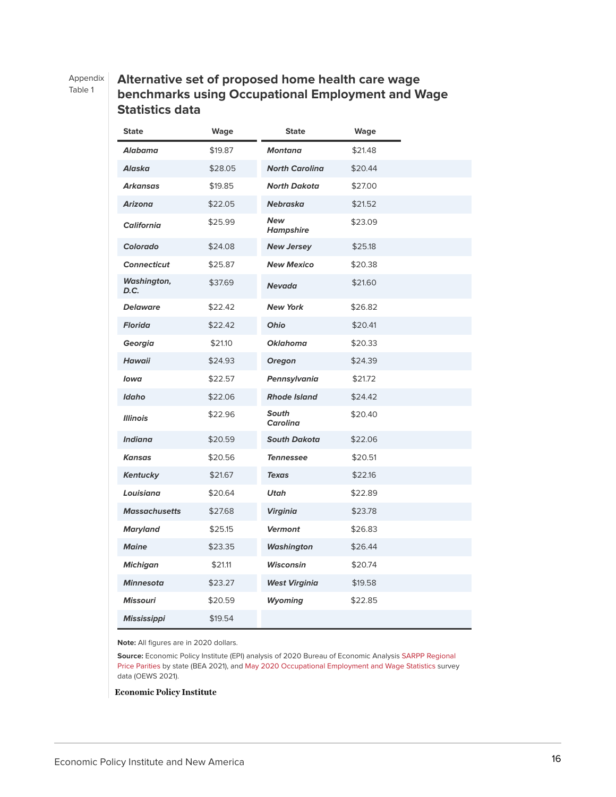#### Appendix

Table 1

#### **Alternative set of proposed home health care wage benchmarks using Occupational Employment and Wage Statistics data**

| <b>State</b>         | Wage    | <b>State</b>                   | Wage    |
|----------------------|---------|--------------------------------|---------|
| Alabama              | \$19.87 | <b>Montana</b>                 | \$21.48 |
| Alaska               | \$28.05 | <b>North Carolina</b>          | \$20.44 |
| Arkansas             | \$19.85 | <b>North Dakota</b>            | \$27.00 |
| <b>Arizona</b>       | \$22.05 | <b>Nebraska</b>                | \$21.52 |
| <b>California</b>    | \$25.99 | <b>New</b><br><b>Hampshire</b> | \$23.09 |
| Colorado             | \$24.08 | <b>New Jersey</b>              | \$25.18 |
| <b>Connecticut</b>   | \$25.87 | <b>New Mexico</b>              | \$20.38 |
| Washington,<br>D.C.  | \$37.69 | <b>Nevada</b>                  | \$21.60 |
| <b>Delaware</b>      | \$22.42 | <b>New York</b>                | \$26.82 |
| <b>Florida</b>       | \$22.42 | Ohio                           | \$20.41 |
| Georgia              | \$21.10 | <b>Oklahoma</b>                | \$20.33 |
| Hawaii               | \$24.93 | <b>Oregon</b>                  | \$24.39 |
| Iowa                 | \$22.57 | Pennsylvania                   | \$21.72 |
| Idaho                | \$22.06 | <b>Rhode Island</b>            | \$24.42 |
| <b>Illinois</b>      | \$22.96 | South<br><b>Carolina</b>       | \$20.40 |
| <b>Indiana</b>       | \$20.59 | <b>South Dakota</b>            | \$22.06 |
| <b>Kansas</b>        | \$20.56 | <b>Tennessee</b>               | \$20.51 |
| <b>Kentucky</b>      | \$21.67 | <b>Texas</b>                   | \$22.16 |
| Louisiana            | \$20.64 | <b>Utah</b>                    | \$22.89 |
| <b>Massachusetts</b> | \$27.68 | <b>Virginia</b>                | \$23.78 |
| <b>Maryland</b>      | \$25.15 | <b>Vermont</b>                 | \$26.83 |
| <b>Maine</b>         | \$23.35 | <b>Washington</b>              | \$26.44 |
| <b>Michigan</b>      | \$21.11 | Wisconsin                      | \$20.74 |
| <b>Minnesota</b>     | \$23.27 | <b>West Virginia</b>           | \$19.58 |
| <b>Missouri</b>      | \$20.59 | <b>Wyoming</b>                 | \$22.85 |
| <b>Mississippi</b>   | \$19.54 |                                |         |

**Note:** All figures are in 2020 dollars.

**Source:** Economic Policy Institute (EPI) analysis of 2020 Bureau of Economic Analysis [SARPP Regional](https://apps.bea.gov/iTable/iTable.cfm?reqid=70&step=30&isuri=1&major_area=0&area=xx&year=2019&tableid=101&category=8101&area_type=0&year_end=-1&classification=non-industry&state=0&statistic=1&yearbegin=-1&unit_of_measure=levels.) [Price Parities](https://apps.bea.gov/iTable/iTable.cfm?reqid=70&step=30&isuri=1&major_area=0&area=xx&year=2019&tableid=101&category=8101&area_type=0&year_end=-1&classification=non-industry&state=0&statistic=1&yearbegin=-1&unit_of_measure=levels.) by state (BEA 2021), and [May 2020 Occupational Employment and Wage Statistics](https://www.bls.gov/oes/tables.htm) survey data (OEWS 2021).

**Economic Policy Institute**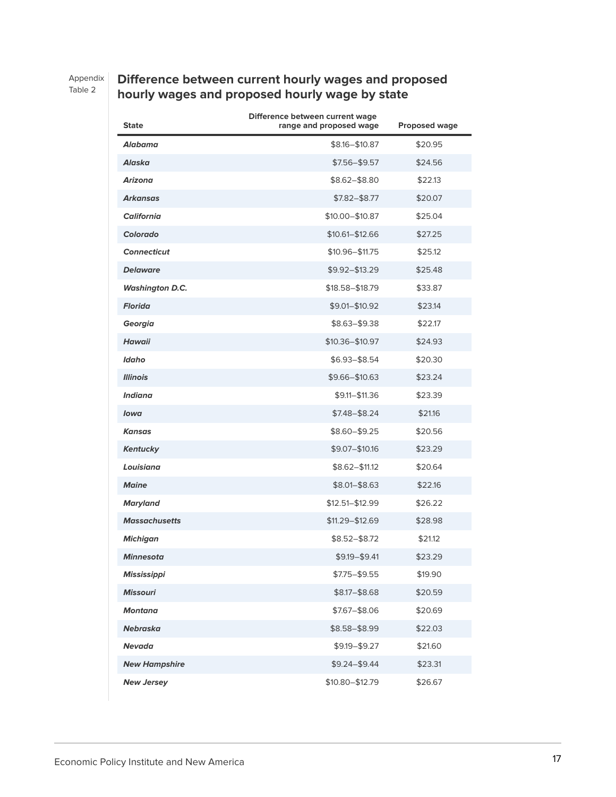Appendix

Table 2

### **Difference between current hourly wages and proposed hourly wages and proposed hourly wage by state**

| <b>State</b>           | Difference between current wage<br>range and proposed wage | <b>Proposed wage</b> |
|------------------------|------------------------------------------------------------|----------------------|
| Alabama                | $$8.16 - $10.87$                                           | \$20.95              |
| Alaska                 | $$7.56 - $9.57$                                            | \$24.56              |
| <b>Arizona</b>         | \$8.62-\$8.80                                              | \$22.13              |
| <b>Arkansas</b>        | $$7.82 - $8.77$                                            | \$20.07              |
| <b>California</b>      | \$10.00-\$10.87                                            | \$25.04              |
| Colorado               | \$10.61-\$12.66                                            | \$27.25              |
| <b>Connecticut</b>     | $$10.96 - $11.75$                                          | \$25.12              |
| <b>Delaware</b>        | \$9.92-\$13.29                                             | \$25.48              |
| <b>Washington D.C.</b> | \$18.58-\$18.79                                            | \$33.87              |
| <b>Florida</b>         | \$9.01-\$10.92                                             | \$23.14              |
| Georgia                | \$8.63-\$9.38                                              | \$22.17              |
| <b>Hawaii</b>          | \$10.36-\$10.97                                            | \$24.93              |
| Idaho                  | $$6.93 - $8.54$                                            | \$20.30              |
| <b>Illinois</b>        | \$9.66-\$10.63                                             | \$23.24              |
| <b>Indiana</b>         | \$9.11-\$11.36                                             | \$23.39              |
| lowa                   | $$7.48 - $8.24$                                            | \$21.16              |
| Kansas                 | \$8.60-\$9.25                                              | \$20.56              |
| <b>Kentucky</b>        | \$9.07-\$10.16                                             | \$23.29              |
| Louisiana              | \$8.62-\$11.12                                             | \$20.64              |
| <b>Maine</b>           | \$8.01-\$8.63                                              | \$22.16              |
| <b>Maryland</b>        | $$12.51 - $12.99$                                          | \$26.22              |
| <b>Massachusetts</b>   | \$11.29-\$12.69                                            | \$28.98              |
| <b>Michigan</b>        | $$8.52 - $8.72$                                            | \$21.12              |
| Minnesota              | $$9.19 - $9.41$                                            | \$23.29              |
| <b>Mississippi</b>     | \$7.75-\$9.55                                              | \$19.90              |
| <b>Missouri</b>        | $$8.17 - $8.68$                                            | \$20.59              |
| <b>Montana</b>         | \$7.67-\$8.06                                              | \$20.69              |
| Nebraska               | \$8.58-\$8.99                                              | \$22.03              |
| Nevada                 | \$9.19-\$9.27                                              | \$21.60              |
| <b>New Hampshire</b>   | $$9.24 - $9.44$                                            | \$23.31              |
| <b>New Jersey</b>      | \$10.80-\$12.79                                            | \$26.67              |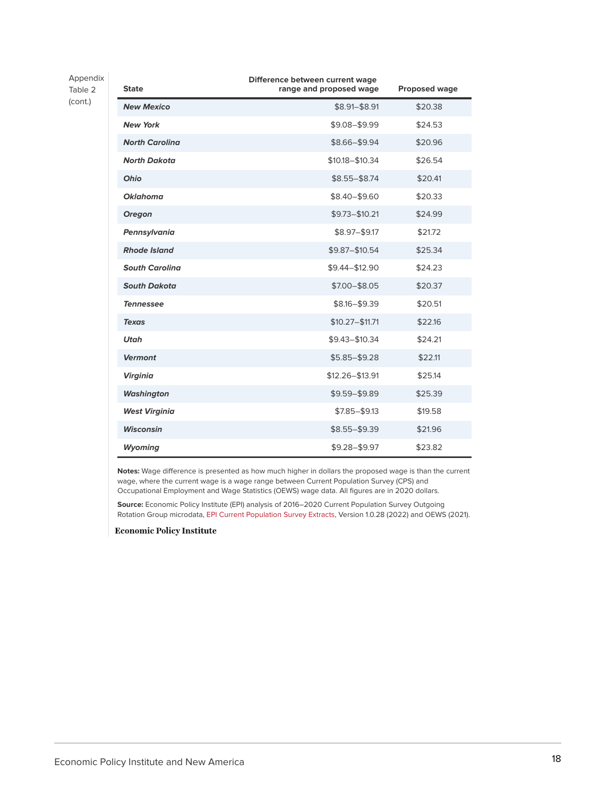Appendix Table 2 (cont.)

| <b>State</b>          | Difference between current wage<br>range and proposed wage | Proposed wage |
|-----------------------|------------------------------------------------------------|---------------|
| <b>New Mexico</b>     | \$8.91-\$8.91                                              | \$20.38       |
| <b>New York</b>       | \$9.08-\$9.99                                              | \$24.53       |
| <b>North Carolina</b> | \$8.66-\$9.94                                              | \$20.96       |
| <b>North Dakota</b>   | $$10.18 - $10.34$                                          | \$26.54       |
| Ohio                  | $$8.55 - $8.74$                                            | \$20.41       |
| <b>Oklahoma</b>       | \$8.40-\$9.60                                              | \$20.33       |
| <b>Oregon</b>         | $$9.73 - $10.21$                                           | \$24.99       |
| Pennsylvania          | \$8.97-\$9.17                                              | \$21.72       |
| <b>Rhode Island</b>   | \$9.87-\$10.54                                             | \$25.34       |
| <b>South Carolina</b> | \$9.44-\$12.90                                             | \$24.23       |
| <b>South Dakota</b>   | \$7.00-\$8.05                                              | \$20.37       |
| <b>Tennessee</b>      | \$8.16-\$9.39                                              | \$20.51       |
| <b>Texas</b>          | $$10.27 - $11.71$                                          | \$22.16       |
| <b>Utah</b>           | \$9.43-\$10.34                                             | \$24.21       |
| <b>Vermont</b>        | $$5.85 - $9.28$                                            | \$22.11       |
| <b>Virginia</b>       | $$12.26 - $13.91$                                          | \$25.14       |
| <b>Washington</b>     | \$9.59-\$9.89                                              | \$25.39       |
| <b>West Virginia</b>  | $$7.85 - $9.13$                                            | \$19.58       |
| <b>Wisconsin</b>      | \$8.55-\$9.39                                              | \$21.96       |
| <b>Wyoming</b>        | $$9.28 - $9.97$                                            | \$23.82       |

**Notes:** Wage difference is presented as how much higher in dollars the proposed wage is than the current wage, where the current wage is a wage range between Current Population Survey (CPS) and Occupational Employment and Wage Statistics (OEWS) wage data. All figures are in 2020 dollars.

**Source:** Economic Policy Institute (EPI) analysis of 2016–2020 Current Population Survey Outgoing Rotation Group microdata, [EPI Current Population Survey Extracts,](https://microdata.epi.org/) Version 1.0.28 (2022) and OEWS (2021).

**Economic Policy Institute**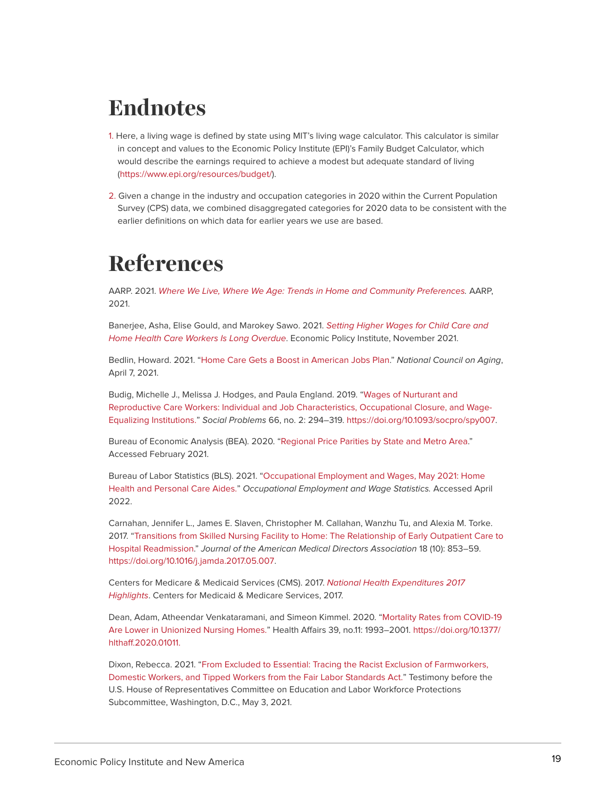## <span id="page-18-0"></span>**Endnotes**

- <span id="page-18-2"></span>[1.](#page-4-1) Here, a living wage is defined by state using MIT's living wage calculator. This calculator is similar in concept and values to the Economic Policy Institute (EPI)'s Family Budget Calculator, which would describe the earnings required to achieve a modest but adequate standard of living [\(https://www.epi.org/resources/budget/](https://www.epi.org/resources/budget/)).
- <span id="page-18-3"></span>[2.](#page-12-1) Given a change in the industry and occupation categories in 2020 within the Current Population Survey (CPS) data, we combined disaggregated categories for 2020 data to be consistent with the earlier definitions on which data for earlier years we use are based.

## <span id="page-18-1"></span>**References**

AARP. 2021. [Where We Live, Where We Age: Trends in Home and Community Preferences](https://livablecommunities.aarpinternational.org/). AARP, 2021.

Banerjee, Asha, Elise Gould, and Marokey Sawo. 2021. [Setting Higher Wages for Child Care and](https://www.epi.org/publication/higher-wages-for-child-care-and-home-health-care-workers/) [Home Health Care Workers Is Long Overdue](https://www.epi.org/publication/higher-wages-for-child-care-and-home-health-care-workers/). Economic Policy Institute, November 2021.

Bedlin, Howard. 2021. "[Home Care Gets a Boost in American Jobs Plan](https://www.ncoa.org/article/home-care-gets-a-boost-in-american-jobs-plan)." National Council on Aging, April 7, 2021.

Budig, Michelle J., Melissa J. Hodges, and Paula England. 2019. "[Wages of Nurturant and](https://doi.org/10.1093/socpro/spy007) [Reproductive Care Workers: Individual and Job Characteristics, Occupational Closure, and Wage-](https://doi.org/10.1093/socpro/spy007)[Equalizing Institutions.](https://doi.org/10.1093/socpro/spy007)" Social Problems 66, no. 2: 294–319. <https://doi.org/10.1093/socpro/spy007>.

Bureau of Economic Analysis (BEA). 2020. ["Regional Price Parities by State and Metro Area](https://www.bea.gov/data/prices-inflation/regional-price-parities-state-and-metro-area#:~:text=Regional%20price%20parities%20(RPPs)%20measure,the%20overall%20national%20price%20level.)." Accessed February 2021.

Bureau of Labor Statistics (BLS). 2021. "[Occupational Employment and Wages, May 2021:](https://www.bls.gov/oes/current/oes311120.htm) [Home](https://www.bls.gov/oes/current/oes311120.htm) [Health and Personal Care Aides."](https://www.bls.gov/oes/current/oes311120.htm) Occupational Employment and Wage Statistics. Accessed April 2022.

Carnahan, Jennifer L., James E. Slaven, Christopher M. Callahan, Wanzhu Tu, and Alexia M. Torke. 2017. "[Transitions from Skilled Nursing Facility to Home: The Relationship of Early Outpatient Care to](https://www.jamda.com/article/S1525-8610(17)30274-8/fulltext) [Hospital Readmission.](https://www.jamda.com/article/S1525-8610(17)30274-8/fulltext)" Journal of the American Medical Directors Association 18 (10): 853–59. [https://doi.org/10.1016/j.jamda.2017.05.007.](https://doi.org/10.1016/j.jamda.2017.05.007)

Centers for Medicare & Medicaid Services (CMS). 2017. [National Health Expenditures 2017](https://www.cms.gov/Research-Statistics-Data-and-Systems/Statistics-Trends-and-Reports/NationalHealthExpendData/downloads/highlights.pdf) [Highlights](https://www.cms.gov/Research-Statistics-Data-and-Systems/Statistics-Trends-and-Reports/NationalHealthExpendData/downloads/highlights.pdf). Centers for Medicaid & Medicare Services, 2017.

Dean, Adam, Atheendar Venkataramani, and Simeon Kimmel. 2020. ["Mortality Rates from COVID-19](https://doi.org/10.1377/hlthaff.2020.01011) [Are Lower in Unionized Nursing Homes.](https://doi.org/10.1377/hlthaff.2020.01011)" Health Affairs 39, no.11: 1993–2001. [https://doi.org/10.1377/](https://doi.org/10.1377/hlthaff.2020.01011) [hlthaff.2020.01011.](https://doi.org/10.1377/hlthaff.2020.01011)

Dixon, Rebecca. 2021. "[From Excluded to Essential: Tracing the Racist Exclusion of Farmworkers,](https://s27147.pcdn.co/wp-content/uploads/NELP-Testimony-FLSA-May-2021.pdf) [Domestic Workers, and Tipped Workers from the Fair Labor Standards Act."](https://s27147.pcdn.co/wp-content/uploads/NELP-Testimony-FLSA-May-2021.pdf) Testimony before the U.S. House of Representatives Committee on Education and Labor Workforce Protections Subcommittee, Washington, D.C., May 3, 2021.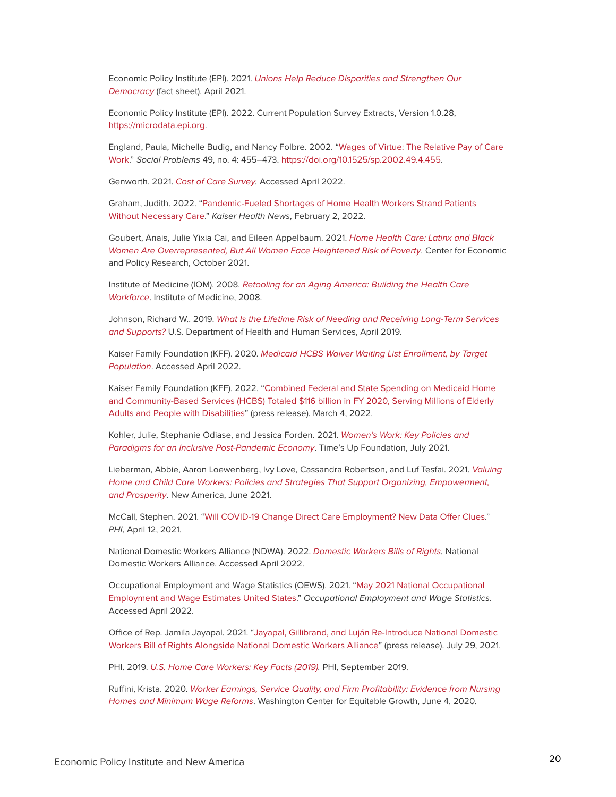Economic Policy Institute (EPI). 2021. [Unions Help Reduce Disparities and Strengthen Our](https://www.epi.org/publication/unions-help-reduce-disparities-and-strengthen-our-democracy/) [Democracy](https://www.epi.org/publication/unions-help-reduce-disparities-and-strengthen-our-democracy/) (fact sheet). April 2021.

Economic Policy Institute (EPI). 2022. Current Population Survey Extracts, Version 1.0.28, [https://microdata.epi.org.](https://microdata.epi.org/)

England, Paula, Michelle Budig, and Nancy Folbre. 2002. "[Wages of Virtue: The Relative Pay of Care](https://academic.oup.com/socpro/article-abstract/49/4/455/2279113?redirectedFrom=fulltext) [Work](https://academic.oup.com/socpro/article-abstract/49/4/455/2279113?redirectedFrom=fulltext)." Social Problems 49, no. 4: 455–473. <https://doi.org/10.1525/sp.2002.49.4.455>.

Genworth. 2021. [Cost of Care Survey.](https://www.genworth.com/aging-and-you/finances/cost-of-care.html) Accessed April 2022.

Graham, Judith. 2022. ["Pandemic-Fueled Shortages of Home Health Workers Strand Patients](https://khn.org/news/article/pandemic-fueled-home-health-care-shortages-strand-patients/) [Without Necessary Care](https://khn.org/news/article/pandemic-fueled-home-health-care-shortages-strand-patients/)." Kaiser Health News, February 2, 2022.

Goubert, Anais, Julie Yixia Cai, and Eileen Appelbaum. 2021. [Home Health Care: Latinx and Black](https://cepr.net/home-health-care-latinx-and-black-women-are-overrepresented-but-all-women-face-heightened-risk-of-poverty/) [Women Are Overrepresented, But All Women Face Heightened Risk of Poverty](https://cepr.net/home-health-care-latinx-and-black-women-are-overrepresented-but-all-women-face-heightened-risk-of-poverty/). Center for Economic and Policy Research, October 2021.

Institute of Medicine (IOM). 2008. [Retooling for an Aging America: Building the Health Care](https://pubmed.ncbi.nlm.nih.gov/25009893/) [Workforce](https://pubmed.ncbi.nlm.nih.gov/25009893/). Institute of Medicine, 2008.

Johnson, Richard W.. 2019. [What Is the Lifetime Risk of Needing and Receiving Long-Term Services](https://aspe.hhs.gov/reports/what-lifetime-risk-needing-receiving-long-term-services-supports-0) [and Supports?](https://aspe.hhs.gov/reports/what-lifetime-risk-needing-receiving-long-term-services-supports-0) U.S. Department of Health and Human Services, April 2019.

Kaiser Family Foundation (KFF). 2020. [Medicaid HCBS Waiver Waiting List Enrollment, by Target](https://www.kff.org/health-reform/state-indicator/waiting-lists-for-hcbs-waivers/?currentTimeframe=0&selectedDistributions=total-waiting-list-enrollment&sortModel=%7B%22colId%22:%22Location%22,%22sort%22:%22asc%22%7D) [Population](https://www.kff.org/health-reform/state-indicator/waiting-lists-for-hcbs-waivers/?currentTimeframe=0&selectedDistributions=total-waiting-list-enrollment&sortModel=%7B%22colId%22:%22Location%22,%22sort%22:%22asc%22%7D). Accessed April 2022.

Kaiser Family Foundation (KFF). 2022. "[Combined Federal and State Spending on Medicaid Home](https://www.kff.org/medicaid/press-release/combined-federal-and-state-spending-on-medicaid-home-and-community-based-services-hcbs-totaled-116-billion-in-fy-2020-serving-millions-of-elderly-adults-and-people-with-disabilities/) [and Community-Based Services \(HCBS\) Totaled \\$116 billion in FY 2020, Serving Millions of Elderly](https://www.kff.org/medicaid/press-release/combined-federal-and-state-spending-on-medicaid-home-and-community-based-services-hcbs-totaled-116-billion-in-fy-2020-serving-millions-of-elderly-adults-and-people-with-disabilities/) [Adults and People with Disabilities](https://www.kff.org/medicaid/press-release/combined-federal-and-state-spending-on-medicaid-home-and-community-based-services-hcbs-totaled-116-billion-in-fy-2020-serving-millions-of-elderly-adults-and-people-with-disabilities/)" (press release). March 4, 2022.

Kohler, Julie, Stephanie Odiase, and Jessica Forden. 2021. [Women's Work: Key Policies and](https://timesupfoundation.org/wp-content/uploads/2021/07/Times-Up_Womens-Labor-Force-Report_Version-2.pdf) [Paradigms for an Inclusive Post-Pandemic Economy](https://timesupfoundation.org/wp-content/uploads/2021/07/Times-Up_Womens-Labor-Force-Report_Version-2.pdf). Time's Up Foundation, July 2021.

Lieberman, Abbie, Aaron Loewenberg, Ivy Love, Cassandra Robertson, and Luf Tesfai. 2021. [Valuing](https://www.newamerica.org/new-practice-lab/reports/valuing-home-child-care-workers/#authors) [Home and Child Care Workers: Policies and Strategies That Support Organizing, Empowerment,](https://www.newamerica.org/new-practice-lab/reports/valuing-home-child-care-workers/#authors) [and Prosperity](https://www.newamerica.org/new-practice-lab/reports/valuing-home-child-care-workers/#authors). New America, June 2021.

McCall, Stephen. 2021. ["Will COVID-19 Change Direct Care Employment? New Data Offer Clues](http://www.phinational.org/will-covid-19-change-direct-care-employment-new-data-offer-clues/)." PHI, April 12, 2021.

National Domestic Workers Alliance (NDWA). 2022. [Domestic Workers Bills of Rights.](https://www.domesticworkers.org/programs-and-campaigns/developing-policy-solutions/bill-of-rights/) National Domestic Workers Alliance. Accessed April 2022.

Occupational Employment and Wage Statistics (OEWS). 2021. ["May 2021 National Occupational](https://www.bls.gov/oes/current/oes_nat.htm#00-0000) [Employment and Wage Estimates United States.](https://www.bls.gov/oes/current/oes_nat.htm#00-0000)" Occupational Employment and Wage Statistics. Accessed April 2022.

Office of Rep. Jamila Jayapal. 2021. "[Jayapal, Gillibrand, and Luján Re-Introduce National Domestic](https://jayapal.house.gov/2021/07/29/domestic-workers-bill-of-rights/) [Workers Bill of Rights Alongside National Domestic Workers Alliance](https://jayapal.house.gov/2021/07/29/domestic-workers-bill-of-rights/)" (press release). July 29, 2021.

PHI. 2019. [U.S. Home Care Workers: Key Facts \(2019\)](https://www.phinational.org/resource/u-s-home-care-workers-key-facts-2019/). PHI, September 2019.

Ruffini, Krista. 2020. [Worker Earnings, Service Quality, and Firm Profitability: Evidence from Nursing](https://equitablegrowth.org/working-papers/worker-earnings-service-quality-and-firm-profitability-evidence-from-nursing-homes-and-minimum-wage-reforms/) [Homes and Minimum Wage Reforms](https://equitablegrowth.org/working-papers/worker-earnings-service-quality-and-firm-profitability-evidence-from-nursing-homes-and-minimum-wage-reforms/). Washington Center for Equitable Growth, June 4, 2020.